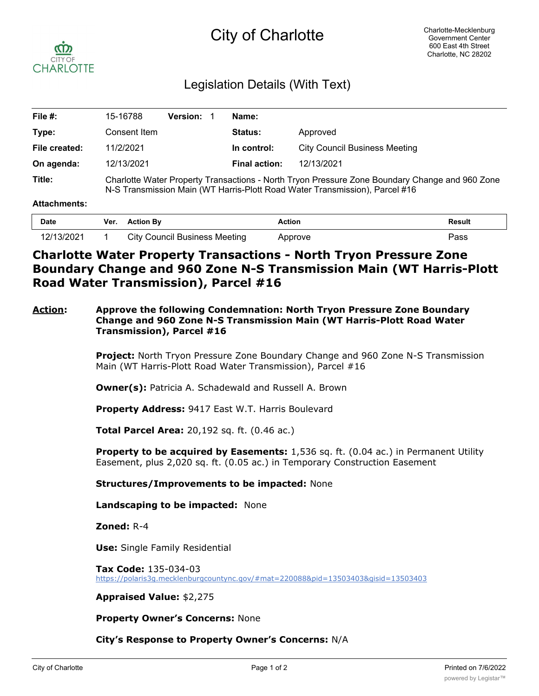# City of Charlotte



# Legislation Details (With Text)

| File $#$ :    | 15-16788                                                                                                                                                                      | <b>Version:</b> | Name:                |                                      |  |
|---------------|-------------------------------------------------------------------------------------------------------------------------------------------------------------------------------|-----------------|----------------------|--------------------------------------|--|
| Type:         | Consent Item                                                                                                                                                                  |                 | <b>Status:</b>       | Approved                             |  |
| File created: | 11/2/2021                                                                                                                                                                     |                 | In control:          | <b>City Council Business Meeting</b> |  |
| On agenda:    | 12/13/2021                                                                                                                                                                    |                 | <b>Final action:</b> | 12/13/2021                           |  |
| Title:        | Charlotte Water Property Transactions - North Tryon Pressure Zone Boundary Change and 960 Zone<br>N-S Transmission Main (WT Harris-Plott Road Water Transmission), Parcel #16 |                 |                      |                                      |  |

#### **Attachments:**

| <b>Date</b> | Ver. | <b>Action By</b>              | Action  | Result |
|-------------|------|-------------------------------|---------|--------|
| 12/13/2021  |      | City Council Business Meeting | Approve | Pass   |

# **Charlotte Water Property Transactions - North Tryon Pressure Zone Boundary Change and 960 Zone N-S Transmission Main (WT Harris-Plott Road Water Transmission), Parcel #16**

### **Action: Approve the following Condemnation: North Tryon Pressure Zone Boundary Change and 960 Zone N-S Transmission Main (WT Harris-Plott Road Water Transmission), Parcel #16**

**Project:** North Tryon Pressure Zone Boundary Change and 960 Zone N-S Transmission Main (WT Harris-Plott Road Water Transmission), Parcel #16

**Owner(s):** Patricia A. Schadewald and Russell A. Brown

**Property Address:** 9417 East W.T. Harris Boulevard

**Total Parcel Area:** 20,192 sq. ft. (0.46 ac.)

**Property to be acquired by Easements:** 1,536 sq. ft. (0.04 ac.) in Permanent Utility Easement, plus 2,020 sq. ft. (0.05 ac.) in Temporary Construction Easement

#### **Structures/Improvements to be impacted:** None

**Landscaping to be impacted:** None

**Zoned:** R-4

**Use:** Single Family Residential

**Tax Code:** 135-034-03 https://polaris3g.mecklenburgcountync.gov/#mat=220088&pid=13503403&gisid=13503403

#### **Appraised Value:** \$2,275

**Property Owner's Concerns:** None

## **City's Response to Property Owner's Concerns:** N/A